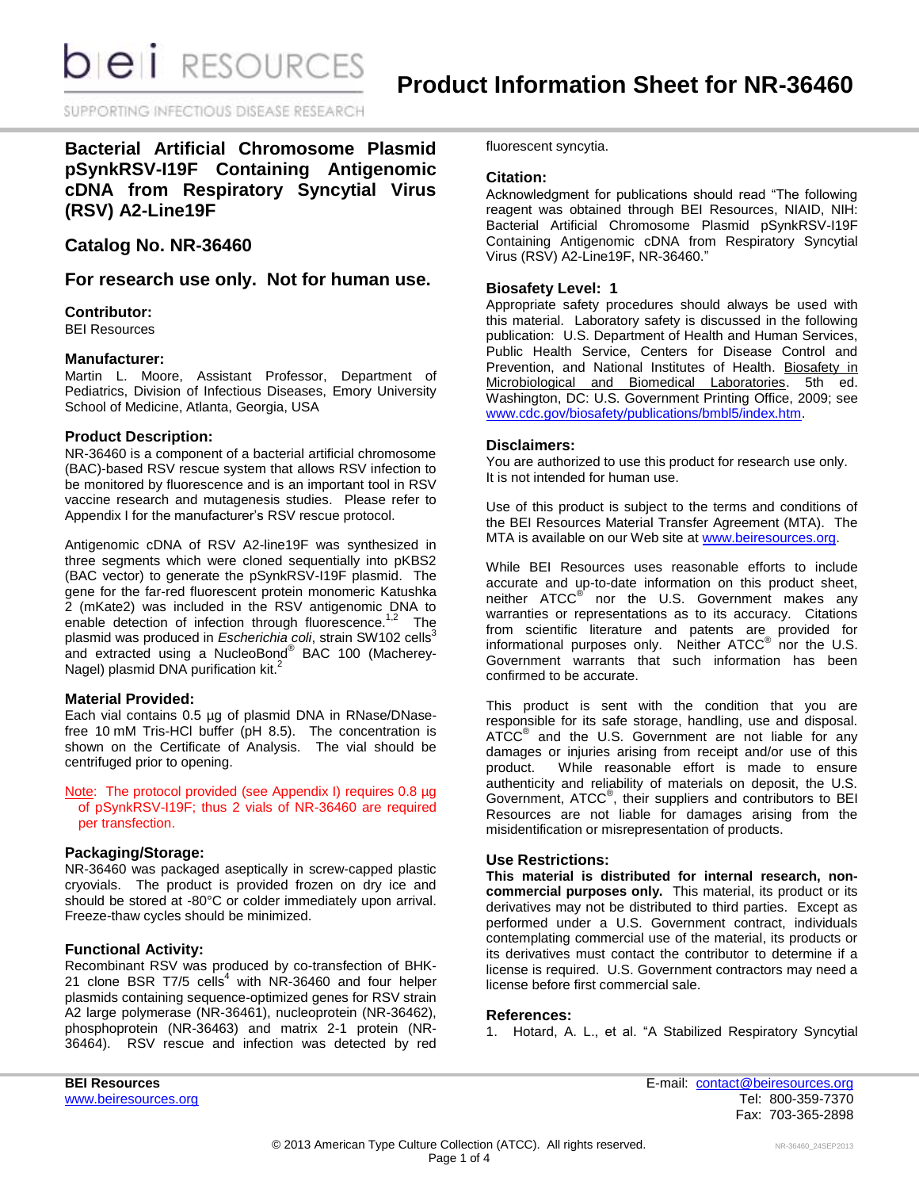**DIEI** RESOURCES

SUPPORTING INFECTIOUS DISEASE RESEARD

**Bacterial Artificial Chromosome Plasmid pSynkRSV-I19F Containing Antigenomic cDNA from Respiratory Syncytial Virus (RSV) A2-Line19F**

# **Catalog No. NR-36460**

**For research use only. Not for human use.**

## **Contributor:**

BEI Resources

### **Manufacturer:**

Martin L. Moore, Assistant Professor, Department of Pediatrics, Division of Infectious Diseases, Emory University School of Medicine, Atlanta, Georgia, USA

## **Product Description:**

NR-36460 is a component of a bacterial artificial chromosome (BAC)-based RSV rescue system that allows RSV infection to be monitored by fluorescence and is an important tool in RSV vaccine research and mutagenesis studies. Please refer to Appendix I for the manufacturer's RSV rescue protocol.

Antigenomic cDNA of RSV A2-line19F was synthesized in three segments which were cloned sequentially into pKBS2 (BAC vector) to generate the pSynkRSV-I19F plasmid. The gene for the far-red fluorescent protein monomeric Katushka 2 (mKate2) was included in the RSV antigenomic DNA to enable detection of infection through fluorescence.<sup>1,2</sup> The plasmid was produced in *Escherichia coli*, strain SW102 cells<sup>3</sup> .<br>and extracted using a NucleoBond® BAC 100 (Macherey-Nagel) plasmid DNA purification kit.<sup>2</sup>

### **Material Provided:**

Each vial contains 0.5 µg of plasmid DNA in RNase/DNasefree 10 mM Tris-HCl buffer (pH 8.5). The concentration is shown on the Certificate of Analysis. The vial should be centrifuged prior to opening.

Note: The protocol provided (see Appendix I) requires 0.8 µg of pSynkRSV-I19F; thus 2 vials of NR-36460 are required per transfection.

### **Packaging/Storage:**

NR-36460 was packaged aseptically in screw-capped plastic cryovials. The product is provided frozen on dry ice and should be stored at -80°C or colder immediately upon arrival. Freeze-thaw cycles should be minimized.

### **Functional Activity:**

Recombinant RSV was produced by co-transfection of BHK-21 clone BSR T7/5  $\text{cells}^4$  with NR-36460 and four helper plasmids containing sequence-optimized genes for RSV strain A2 large polymerase (NR-36461), nucleoprotein (NR-36462), phosphoprotein (NR-36463) and matrix 2-1 protein (NR-36464). RSV rescue and infection was detected by red fluorescent syncytia.

## **Citation:**

Acknowledgment for publications should read "The following reagent was obtained through BEI Resources, NIAID, NIH: Bacterial Artificial Chromosome Plasmid pSynkRSV-I19F Containing Antigenomic cDNA from Respiratory Syncytial Virus (RSV) A2-Line19F, NR-36460."

## **Biosafety Level: 1**

Appropriate safety procedures should always be used with this material. Laboratory safety is discussed in the following publication: U.S. Department of Health and Human Services, Public Health Service, Centers for Disease Control and Prevention, and National Institutes of Health. Biosafety in Microbiological and Biomedical Laboratories. 5th ed. Washington, DC: U.S. Government Printing Office, 2009; see [www.cdc.gov/biosafety/publications/bmbl5/index.htm.](http://www.cdc.gov/biosafety/publications/bmbl5/index.htm)

## **Disclaimers:**

You are authorized to use this product for research use only. It is not intended for human use.

Use of this product is subject to the terms and conditions of the BEI Resources Material Transfer Agreement (MTA). The MTA is available on our Web site at [www.beiresources.org.](http://www.beiresources.org/)

While BEI Resources uses reasonable efforts to include accurate and up-to-date information on this product sheet, neither ATCC<sup>®</sup> nor the U.S. Government makes any warranties or representations as to its accuracy. Citations from scientific literature and patents are provided for informational purposes only. Neither ATCC® nor the U.S. Government warrants that such information has been confirmed to be accurate.

This product is sent with the condition that you are responsible for its safe storage, handling, use and disposal. ATCC<sup>®</sup> and the U.S. Government are not liable for any damages or injuries arising from receipt and/or use of this product. While reasonable effort is made to ensure authenticity and reliability of materials on deposit, the U.S. Government, ATCC® , their suppliers and contributors to BEI Resources are not liable for damages arising from the misidentification or misrepresentation of products.

### **Use Restrictions:**

**This material is distributed for internal research, noncommercial purposes only.** This material, its product or its derivatives may not be distributed to third parties. Except as performed under a U.S. Government contract, individuals contemplating commercial use of the material, its products or its derivatives must contact the contributor to determine if a license is required. U.S. Government contractors may need a license before first commercial sale.

### **References:**

1. Hotard, A. L., et al. "A Stabilized Respiratory Syncytial

**BEI Resources** E-mail: [contact@beiresources.org](mailto:contact@beiresources.org) Fax: 703-365-2898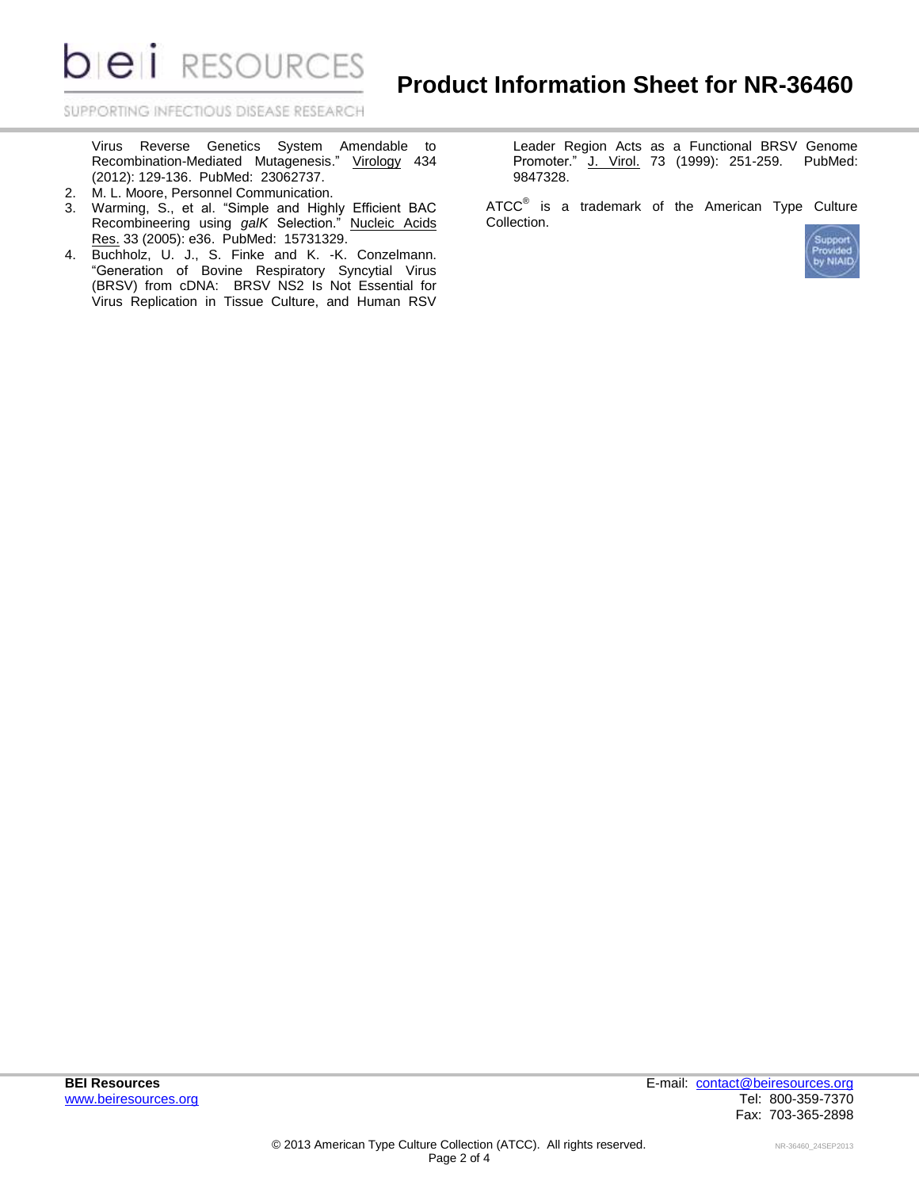**DIEI** RESOURCES

SUPPORTING INFECTIOUS DISEASE RESEARCH

Virus Reverse Genetics System Amendable to Recombination-Mediated Mutagenesis." Virology 434 (2012): 129-136. PubMed: 23062737.

- 2. M. L. Moore, Personnel Communication.
- 3. Warming, S., et al. "Simple and Highly Efficient BAC Recombineering using *galK* Selection." Nucleic Acids Res. 33 (2005): e36. PubMed: 15731329.
- 4. Buchholz, U. J., S. Finke and K. -K. Conzelmann. "Generation of Bovine Respiratory Syncytial Virus (BRSV) from cDNA: BRSV NS2 Is Not Essential for Virus Replication in Tissue Culture, and Human RSV

Leader Region Acts as a Functional BRSV Genome Promoter." J. Virol. 73 (1999): 251-259. PubMed: 9847328.

ATCC $^{\circ}$  is a trademark of the American Type Culture Collection.

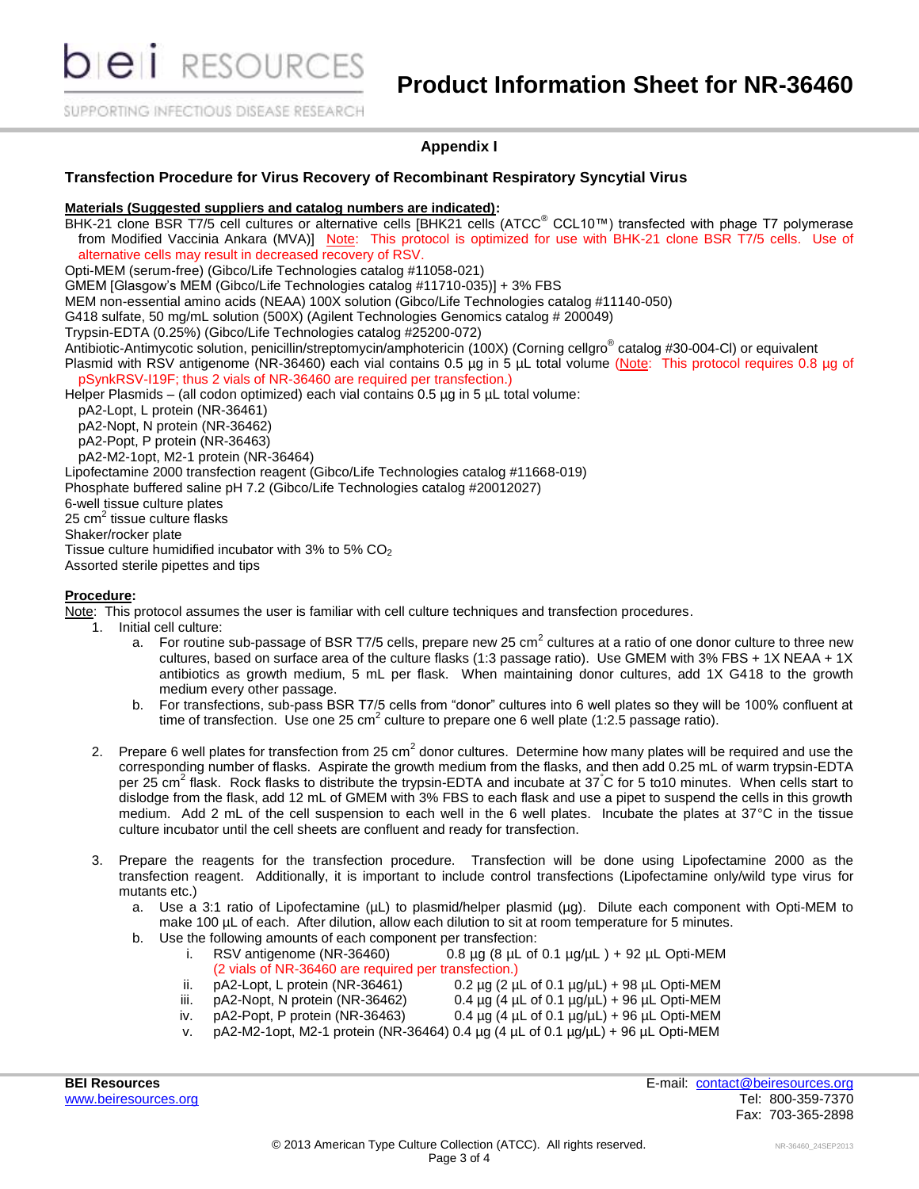**DIEII** RESOURCES

SUPPORTING INFECTIOUS DISEASE RESEARCH

## **Appendix I**

## **Transfection Procedure for Virus Recovery of Recombinant Respiratory Syncytial Virus**

#### **Materials (Suggested suppliers and catalog numbers are indicated):**

BHK-21 clone BSR T7/5 cell cultures or alternative cells [BHK21 cells (ATCC® CCL10™) transfected with phage T7 polymerase from Modified Vaccinia Ankara (MVA)] Note: This protocol is optimized for use with BHK-21 clone BSR T7/5 cells. Use of alternative cells may result in decreased recovery of RSV.

Opti-MEM (serum-free) (Gibco/Life Technologies catalog #11058-021)

GMEM [Glasgow's MEM (Gibco/Life Technologies catalog #11710-035)] + 3% FBS

MEM non-essential amino acids (NEAA) 100X solution (Gibco/Life Technologies catalog #11140-050)

G418 sulfate, 50 mg/mL solution (500X) (Agilent Technologies Genomics catalog # 200049)

Trypsin-EDTA (0.25%) (Gibco/Life Technologies catalog #25200-072)

Antibiotic-Antimycotic solution, penicillin/streptomycin/amphotericin (100X) (Corning cellgro® catalog #30-004-Cl) or equivalent Plasmid with RSV antigenome (NR-36460) each vial contains 0.5 µg in 5 µL total volume (Note: This protocol requires 0.8 µg of pSynkRSV-I19F; thus 2 vials of NR-36460 are required per transfection.)

Helper Plasmids – (all codon optimized) each vial contains 0.5 µg in 5 µL total volume:

pA2-Lopt, L protein (NR-36461)

pA2-Nopt, N protein (NR-36462)

pA2-Popt, P protein (NR-36463)

pA2-M2-1opt, M2-1 protein (NR-36464)

Lipofectamine 2000 transfection reagent (Gibco/Life Technologies catalog #11668-019)

Phosphate buffered saline pH 7.2 (Gibco/Life Technologies catalog #20012027)

6-well tissue culture plates

25 cm<sup>2</sup> tissue culture flasks

Shaker/rocker plate

Tissue culture humidified incubator with 3% to 5%  $CO<sub>2</sub>$ 

Assorted sterile pipettes and tips

## **Procedure:**

Note: This protocol assumes the user is familiar with cell culture techniques and transfection procedures.

1. Initial cell culture:

- a. For routine sub-passage of BSR T7/5 cells, prepare new 25 cm<sup>2</sup> cultures at a ratio of one donor culture to three new cultures, based on surface area of the culture flasks (1:3 passage ratio). Use GMEM with 3% FBS + 1X NEAA + 1X antibiotics as growth medium, 5 mL per flask. When maintaining donor cultures, add 1X G418 to the growth medium every other passage.
- b. For transfections, sub-pass BSR T7/5 cells from "donor" cultures into 6 well plates so they will be 100% confluent at time of transfection. Use one 25 cm<sup>2</sup> culture to prepare one 6 well plate (1:2.5 passage ratio).
- 2. Prepare 6 well plates for transfection from 25 cm<sup>2</sup> donor cultures. Determine how many plates will be required and use the corresponding number of flasks. Aspirate the growth medium from the flasks, and then add 0.25 mL of warm trypsin-EDTA per 25 cm<sup>2</sup> flask. Rock flasks to distribute the trypsin-EDTA and incubate at 37°C for 5 to10 minutes. When cells start to dislodge from the flask, add 12 mL of GMEM with 3% FBS to each flask and use a pipet to suspend the cells in this growth medium. Add 2 mL of the cell suspension to each well in the 6 well plates. Incubate the plates at 37°C in the tissue culture incubator until the cell sheets are confluent and ready for transfection.
- 3. Prepare the reagents for the transfection procedure. Transfection will be done using Lipofectamine 2000 as the transfection reagent. Additionally, it is important to include control transfections (Lipofectamine only/wild type virus for mutants etc.)
	- a. Use a 3:1 ratio of Lipofectamine ( $\mu$ L) to plasmid/helper plasmid ( $\mu$ g). Dilute each component with Opti-MEM to make 100 µL of each. After dilution, allow each dilution to sit at room temperature for 5 minutes.
	- b. Use the following amounts of each component per transfection:
		- i. RSV antigenome (NR-36460)  $0.8 \mu g$  (8  $\mu L$  of 0.1  $\mu g/\mu L$ ) + 92  $\mu L$  Opti-MEM (2 vials of NR-36460 are required per transfection.)
		- ii. pA2-Lopt, L protein (NR-36461)  $\qquad 0.2 \text{ µg} \text{ (2 µL of 0.1 µg/µL) + 98 µL Opti-MEM}$ <br>iii. pA2-Nopt, N protein (NR-36462)  $\qquad 0.4 \text{ µg} \text{ (4 µL of 0.1 µg/µL) + 96 µL Opti-MEM}$
		-
		- iii.  $pA2-Nopt$ , N protein (NR-36462) 0.4  $\mu$ g (4  $\mu$ L of 0.1  $\mu$ g/ $\mu$ L) + 96  $\mu$ L Opti-MEM
		- iv. pA2-Popt, P protein (NR-36463) 0.4 µg (4 µL of 0.1 µg/µL) + 96 µL Opti-MEM v. pA2-M2-1opt, M2-1 protein (NR-36464) 0.4 µg (4 µL of 0.1 µg/µL) + 96 µL Opti-MEM